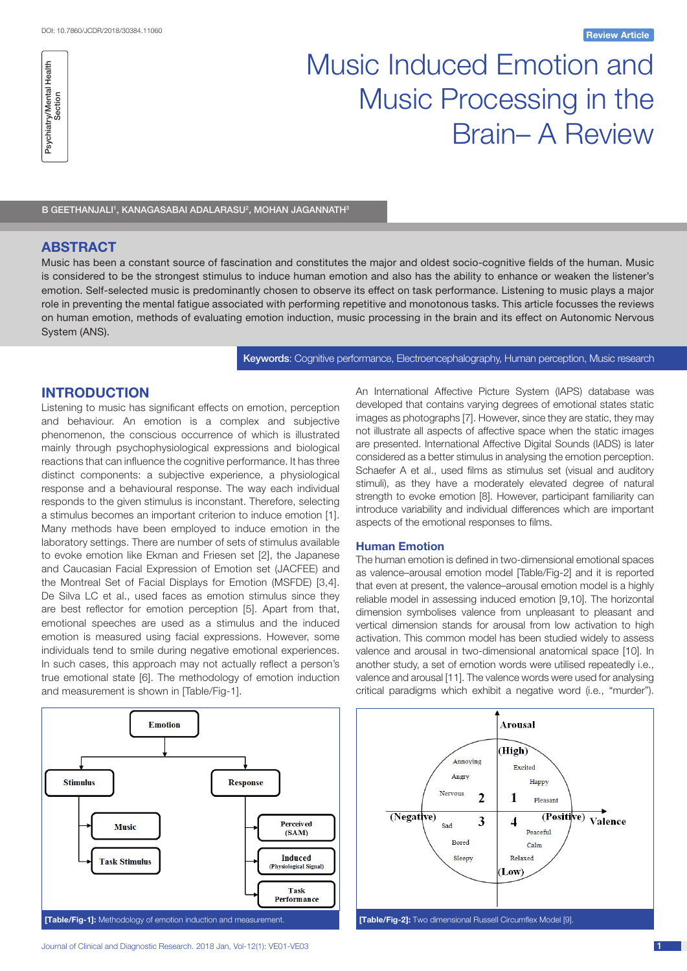

# Music Induced Emotion and Music Processing in the Brain– A Review

B GEETHANJALI', KANAGASABAI ADALARASU<del>'</del>, MOHAN JAGANNATH<sup>3</sup>

# **ABSTRACT**

Music has been a constant source of fascination and constitutes the major and oldest socio-cognitive fields of the human. Music is considered to be the strongest stimulus to induce human emotion and also has the ability to enhance or weaken the listener's emotion. Self-selected music is predominantly chosen to observe its effect on task performance. Listening to music plays a major role in preventing the mental fatigue associated with performing repetitive and monotonous tasks. This article focusses the reviews on human emotion, methods of evaluating emotion induction, music processing in the brain and its effect on Autonomic Nervous System (ANS).

Keywords: Cognitive performance, Electroencephalography, Human perception, Music research

# **INTRODUCTION**

Listening to music has significant effects on emotion, perception and behaviour. An emotion is a complex and subjective phenomenon, the conscious occurrence of which is illustrated mainly through psychophysiological expressions and biological reactions that can influence the cognitive performance. It has three distinct components: a subjective experience, a physiological response and a behavioural response. The way each individual responds to the given stimulus is inconstant. Therefore, selecting a stimulus becomes an important criterion to induce emotion [1]. Many methods have been employed to induce emotion in the laboratory settings. There are number of sets of stimulus available to evoke emotion like Ekman and Friesen set [2], the Japanese and Caucasian Facial Expression of Emotion set (JACFEE) and the Montreal Set of Facial Displays for Emotion (MSFDE) [3,4]. De Silva LC et al., used faces as emotion stimulus since they are best reflector for emotion perception [5]. Apart from that, emotional speeches are used as a stimulus and the induced emotion is measured using facial expressions. However, some individuals tend to smile during negative emotional experiences. In such cases, this approach may not actually reflect a person's true emotional state [6]. The methodology of emotion induction and measurement is shown in [Table/Fig-1].



Journal of Clinical and Diagnostic Research. 2018 Jan, Vol-12(1): VE01-VE03 1

An International Affective Picture System (IAPS) database was developed that contains varying degrees of emotional states static images as photographs [7]. However, since they are static, they may not illustrate all aspects of affective space when the static images are presented. International Affective Digital Sounds (IADS) is later considered as a better stimulus in analysing the emotion perception. Schaefer A et al., used films as stimulus set (visual and auditory stimuli), as they have a moderately elevated degree of natural strength to evoke emotion [8]. However, participant familiarity can introduce variability and individual differences which are important aspects of the emotional responses to films.

#### **Human Emotion**

The human emotion is defined in two-dimensional emotional spaces as valence–arousal emotion model [Table/Fig-2] and it is reported that even at present, the valence–arousal emotion model is a highly reliable model in assessing induced emotion [9,10]. The horizontal dimension symbolises valence from unpleasant to pleasant and vertical dimension stands for arousal from low activation to high activation. This common model has been studied widely to assess valence and arousal in two-dimensional anatomical space [10]. In another study, a set of emotion words were utilised repeatedly i.e., valence and arousal [11]. The valence words were used for analysing critical paradigms which exhibit a negative word (i.e., "murder").

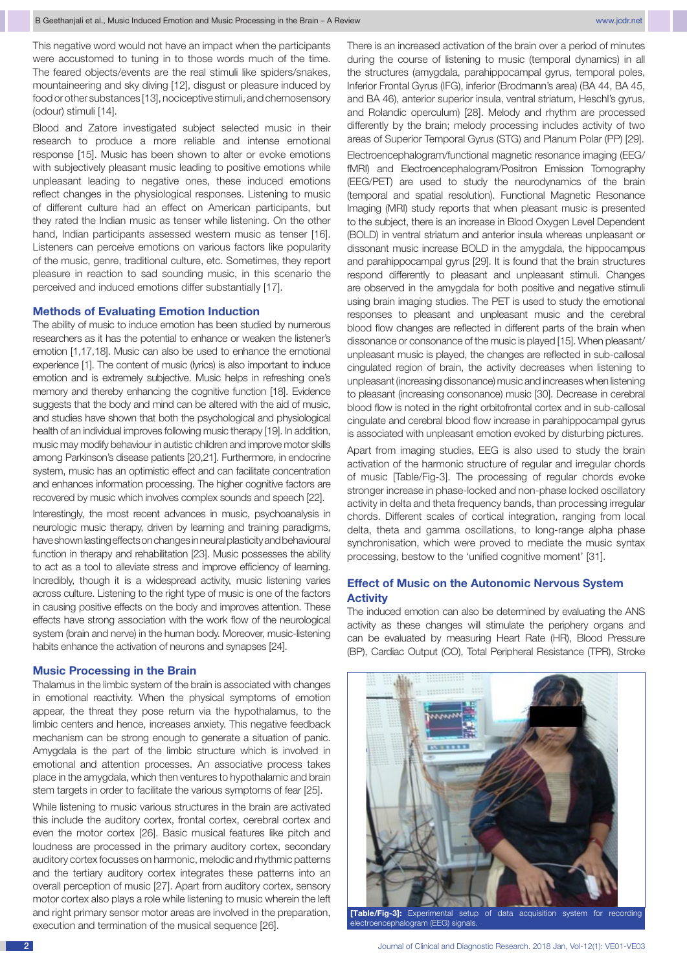This negative word would not have an impact when the participants were accustomed to tuning in to those words much of the time. The feared objects/events are the real stimuli like spiders/snakes, mountaineering and sky diving [12], disgust or pleasure induced by food or other substances [13], nociceptive stimuli, and chemosensory (odour) stimuli [14].

Blood and Zatore investigated subject selected music in their research to produce a more reliable and intense emotional response [15]. Music has been shown to alter or evoke emotions with subjectively pleasant music leading to positive emotions while unpleasant leading to negative ones, these induced emotions reflect changes in the physiological responses. Listening to music of different culture had an effect on American participants, but they rated the Indian music as tenser while listening. On the other hand, Indian participants assessed western music as tenser [16]. Listeners can perceive emotions on various factors like popularity of the music, genre, traditional culture, etc. Sometimes, they report pleasure in reaction to sad sounding music, in this scenario the perceived and induced emotions differ substantially [17].

## **Methods of Evaluating Emotion Induction**

The ability of music to induce emotion has been studied by numerous researchers as it has the potential to enhance or weaken the listener's emotion [1,17,18]. Music can also be used to enhance the emotional experience [1]. The content of music (lyrics) is also important to induce emotion and is extremely subjective. Music helps in refreshing one's memory and thereby enhancing the cognitive function [18]. Evidence suggests that the body and mind can be altered with the aid of music, and studies have shown that both the psychological and physiological health of an individual improves following music therapy [19]. In addition, music may modify behaviour in autistic children and improve motor skills among Parkinson's disease patients [20,21]. Furthermore, in endocrine system, music has an optimistic effect and can facilitate concentration and enhances information processing. The higher cognitive factors are recovered by music which involves complex sounds and speech [22].

Interestingly, the most recent advances in music, psychoanalysis in neurologic music therapy, driven by learning and training paradigms, have shown lasting effects on changes in neural plasticity and behavioural function in therapy and rehabilitation [23]. Music possesses the ability to act as a tool to alleviate stress and improve efficiency of learning. Incredibly, though it is a widespread activity, music listening varies across culture. Listening to the right type of music is one of the factors in causing positive effects on the body and improves attention. These effects have strong association with the work flow of the neurological system (brain and nerve) in the human body. Moreover, music-listening habits enhance the activation of neurons and synapses [24].

#### **Music Processing in the Brain**

Thalamus in the limbic system of the brain is associated with changes in emotional reactivity. When the physical symptoms of emotion appear, the threat they pose return via the hypothalamus, to the limbic centers and hence, increases anxiety. This negative feedback mechanism can be strong enough to generate a situation of panic. Amygdala is the part of the limbic structure which is involved in emotional and attention processes. An associative process takes place in the amygdala, which then ventures to hypothalamic and brain stem targets in order to facilitate the various symptoms of fear [25].

While listening to music various structures in the brain are activated this include the auditory cortex, frontal cortex, cerebral cortex and even the motor cortex [26]. Basic musical features like pitch and loudness are processed in the primary auditory cortex, secondary auditory cortex focusses on harmonic, melodic and rhythmic patterns and the tertiary auditory cortex integrates these patterns into an overall perception of music [27]. Apart from auditory cortex, sensory motor cortex also plays a role while listening to music wherein the left and right primary sensor motor areas are involved in the preparation, execution and termination of the musical sequence [26].

There is an increased activation of the brain over a period of minutes during the course of listening to music (temporal dynamics) in all the structures (amygdala, parahippocampal gyrus, temporal poles, Inferior Frontal Gyrus (IFG), inferior (Brodmann's area) (BA 44, BA 45, and BA 46), anterior superior insula, ventral striatum, Heschl's gyrus, and Rolandic operculum) [28]. Melody and rhythm are processed differently by the brain; melody processing includes activity of two areas of Superior Temporal Gyrus (STG) and Planum Polar (PP) [29].

Electroencephalogram/functional magnetic resonance imaging (EEG/ fMRI) and Electroencephalogram/Positron Emission Tomography (EEG/PET) are used to study the neurodynamics of the brain (temporal and spatial resolution). Functional Magnetic Resonance Imaging (MRI) study reports that when pleasant music is presented to the subject, there is an increase in Blood Oxygen Level Dependent (BOLD) in ventral striatum and anterior insula whereas unpleasant or dissonant music increase BOLD in the amygdala, the hippocampus and parahippocampal gyrus [29]. It is found that the brain structures respond differently to pleasant and unpleasant stimuli. Changes are observed in the amygdala for both positive and negative stimuli using brain imaging studies. The PET is used to study the emotional responses to pleasant and unpleasant music and the cerebral blood flow changes are reflected in different parts of the brain when dissonance or consonance of the music is played [15]. When pleasant/ unpleasant music is played, the changes are reflected in sub-callosal cingulated region of brain, the activity decreases when listening to unpleasant (increasing dissonance) music and increases when listening to pleasant (increasing consonance) music [30]. Decrease in cerebral blood flow is noted in the right orbitofrontal cortex and in sub-callosal cingulate and cerebral blood flow increase in parahippocampal gyrus is associated with unpleasant emotion evoked by disturbing pictures.

Apart from imaging studies, EEG is also used to study the brain activation of the harmonic structure of regular and irregular chords of music [Table/Fig-3]. The processing of regular chords evoke stronger increase in phase-locked and non-phase locked oscillatory activity in delta and theta frequency bands, than processing irregular chords. Different scales of cortical integration, ranging from local delta, theta and gamma oscillations, to long-range alpha phase synchronisation, which were proved to mediate the music syntax processing, bestow to the 'unified cognitive moment' [31].

## **Effect of Music on the Autonomic Nervous System Activity**

The induced emotion can also be determined by evaluating the ANS activity as these changes will stimulate the periphery organs and can be evaluated by measuring Heart Rate (HR), Blood Pressure (BP), Cardiac Output (CO), Total Peripheral Resistance (TPR), Stroke



electroencephalogram (EEG) signals.